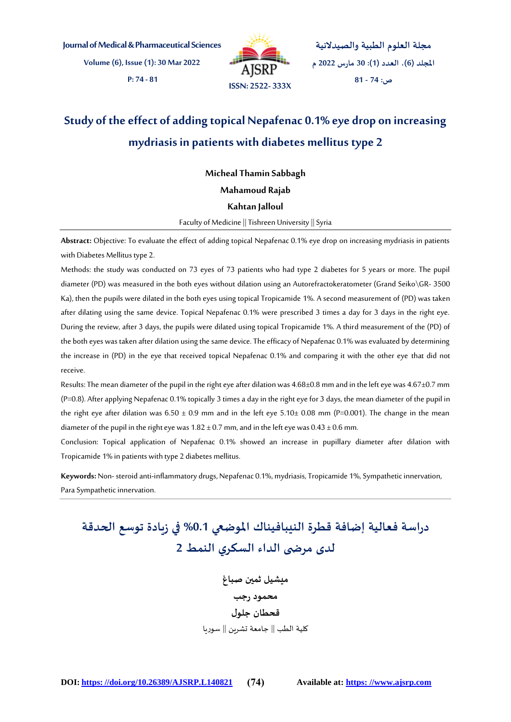**Journal of Medical & Pharmaceutical Sciences**

**Volume (6), Issue (1): 30 Mar 2022 P: 74 - 81**



**مجلة العلوم الطبية والصيدالنية املجلد )6(، العدد )1(: 30 مارس 2022 م ص: 74 - 81**

# **Study of the effect of adding topical Nepafenac 0.1% eye drop on increasing mydriasis in patients with diabetes mellitus type 2**

**Micheal Thamin Sabbagh** 

**Mahamoud Rajab** 

#### **Kahtan Jalloul**

Faculty of Medicine || Tishreen University || Syria

**Abstract:** Objective: To evaluate the effect of adding topical Nepafenac 0.1% eye drop on increasing mydriasis in patients with Diabetes Mellitus type 2.

Methods: the study was conducted on 73 eyes of 73 patients who had type 2 diabetes for 5 years or more. The pupil diameter (PD) was measured in the both eyes without dilation using an Autorefractokeratometer (Grand Seiko\GR- 3500 Ka), then the pupils were dilated in the both eyes using topical Tropicamide 1%. A second measurement of (PD) was taken after dilating using the same device. Topical Nepafenac 0.1% were prescribed 3 times a day for 3 days in the right eye. During the review, after 3 days, the pupils were dilated using topical Tropicamide 1%. A third measurement of the (PD) of the both eyes was taken after dilation using the same device. The efficacy of Nepafenac 0.1% was evaluated by determining the increase in (PD) in the eye that received topical Nepafenac 0.1% and comparing it with the other eye that did not receive.

Results: The mean diameter of the pupil in the right eye after dilation was 4.68±0.8 mm and in the left eye was 4.67±0.7 mm (P=0.8). After applying Nepafenac 0.1% topically 3 times a day in the right eye for 3 days, the mean diameter of the pupil in the right eye after dilation was  $6.50 \pm 0.9$  mm and in the left eye  $5.10 \pm 0.08$  mm (P=0.001). The change in the mean diameter of the pupil in the right eye was  $1.82 \pm 0.7$  mm, and in the left eye was  $0.43 \pm 0.6$  mm.

Conclusion: Topical application of Nepafenac 0.1% showed an increase in pupillary diameter after dilation with Tropicamide 1% in patients with type 2 diabetes mellitus.

**Keywords:** Non- steroid anti-inflammatory drugs, Nepafenac 0.1%, mydriasis, Tropicamide 1%, Sympathetic innervation, Para Sympathetic innervation.

# **دراسة فعالية إضافة قطرة النيبافيناك املوضعي %0.1 في زيادة توسع الحدقة لدى مرض ى الداء السكري النمط 2**

**ميشيل ثمين صباغ محمود رجب قحطان جلول** كلية الطب || جامعة تشربن || سوربا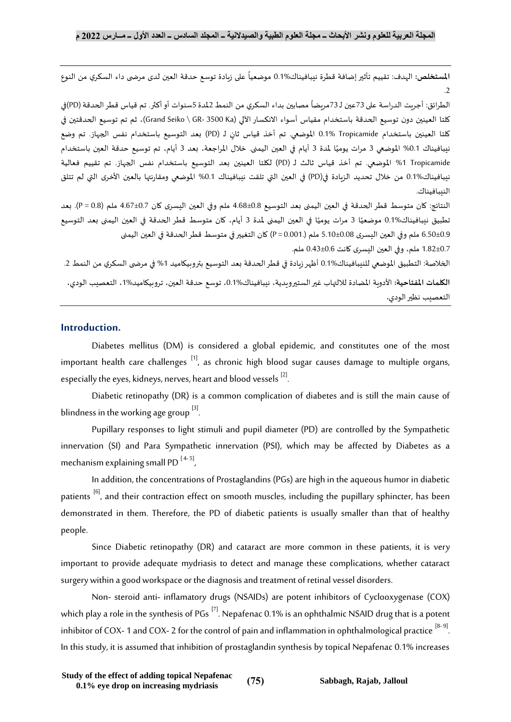**المستخلص:** الهدف: تقييم تأثير إضافة قطرة نيبافيناك%0.1 موضعياً على زبادة توسع حدقة العين لدى مرضى داء السكري من النوع ً<br>أ  $\overline{2}$ 

الطرائق: أجريت الدراسة على 73عين لـ 73مريضاً مصابين بداء السكري من النمط 2لمدة 5سنوات أو أكثر. تم قياس قطر الحدقة (PD)في ً كلتا العينين دون توسيع الحدقة باستخدام مقياس أسواء االنكساراآللي (Ka 3500 -GR \ Seiko Grand)، ثم تم توسيع الحدقتين في كلتا العينين باستخدام Tropicamide الموضعي. تم أخذ قياس ثانٍ لـ (PD) بعد التوسيع باستخدام نفس الجهاز. تم وضع ًنيبافيناك 0.1% الموضعي 3 مرات يوميًا لمدة 3 أيام في العين اليمنى. خلال المراجعة، بعد 3 أيام، تم توسيع حدقة العين باستخدام Tropicamide %1 املوضعي. تم أخذ قياس ثالث لـ (PD (لكلتا العينين بعد التوسيع باستخدام نفس الجهاز. تم تقييم فعالية نيبافيناك0.1% من خلال تحديد الزيادة في(PD) في العين التي تلقت نيبافيناك 0.1% الموضعي ومقارنتها بالعين الأخرى التي لم تتلق النيبافيناك.

النتائج: كان متوسط قطر الحدقة في العين اليمنى بعد التوسيع 4.68±0.8 ملم وفي العين اليسرى كان 4.67±0.7 ملم )0.8 = P). بعد ٍ<br>أ تطبيق نيبافيناك%0.1 موضعيًا 3 مرات يوميًا في العين اليمنى لمدة 3 أيام، كان متوسط قطر الحدقة في العين اليمنى بعد التوسيع **ً**<br>: 6.50±0.9 ملم وفي العين اليسرى 5.10±0.08 ملم )0.001. = P (كان التغيير في متوسط قطر الحدقة في العين اليمنى

1.82±0.7 ملم، وفي العين اليسرى كانت 0.43±0.6 ملم.

الخلاصة: التطبيق الموضعي للننبافيناك0.1% أظهر زيادة في قطر الحدقة بعد التوسيع بتروبيكاميد 1% في مرضى السكري من النمط 2.

**الكلمات املفتاحية:** األدوية املضادة لاللتهاب غير الستيرويدية، نيبافيناك،0.1% توسع حدقة العين، تروبيكاميد،1% التعصيب الودي، التعصيب نظير الودي**.**

## **Introduction.**

Diabetes mellitus (DM) is considered a global epidemic, and constitutes one of the most important health care challenges  $\left[1\right]$ , as chronic high blood sugar causes damage to multiple organs, especially the eyes, kidneys, nerves, heart and blood vessels  $^{[2]}$ . .

Diabetic retinopathy (DR) is a common complication of diabetes and is still the main cause of blindness in the working age group  $^{[3]}$ . .

Pupillary responses to light stimuli and pupil diameter (PD) are controlled by the Sympathetic innervation (SI) and Para Sympathetic innervation (PSI), which may be affected by Diabetes as a mechanism explaining small PD  $[4-5]$ , ,

In addition, the concentrations of Prostaglandins (PGs) are high in the aqueous humor in diabetic patients <sup>[6]</sup>, and their contraction effect on smooth muscles, including the pupillary sphincter, has been demonstrated in them. Therefore, the PD of diabetic patients is usually smaller than that of healthy people.

Since Diabetic retinopathy (DR) and cataract are more common in these patients, it is very important to provide adequate mydriasis to detect and manage these complications, whether cataract surgery within a good workspace or the diagnosis and treatment of retinal vessel disorders.

Non- steroid anti- inflamatory drugs (NSAIDs) are potent inhibitors of Cyclooxygenase (COX) which play a role in the synthesis of  $PGs$ <sup>[7]</sup>. Nepafenac 0.1% is an ophthalmic NSAID drug that is a potent inhibitor of COX- 1 and COX- 2 for the control of pain and inflammation in ophthalmological practice  $^{[8-9]}.$ In this study, it is assumed that inhibition of prostaglandin synthesis by topical Nepafenac 0.1% increases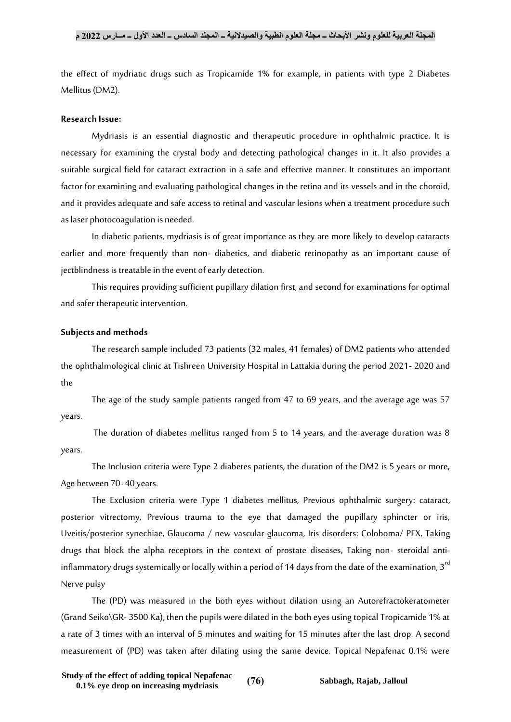the effect of mydriatic drugs such as Tropicamide 1% for example, in patients with type 2 Diabetes Mellitus (DM2).

#### **Research Issue:**

Mydriasis is an essential diagnostic and therapeutic procedure in ophthalmic practice. It is necessary for examining the crystal body and detecting pathological changes in it. It also provides a suitable surgical field for cataract extraction in a safe and effective manner. It constitutes an important factor for examining and evaluating pathological changes in the retina and its vessels and in the choroid, and it provides adequate and safe access to retinal and vascular lesions when a treatment procedure such as laser photocoagulation is needed.

In diabetic patients, mydriasis is of great importance as they are more likely to develop cataracts earlier and more frequently than non- diabetics, and diabetic retinopathy as an important cause of jectblindness is treatable in the event of early detection.

This requires providing sufficient pupillary dilation first, and second for examinations for optimal and safer therapeutic intervention.

#### **Subjects and methods**

The research sample included 73 patients (32 males, 41 females) of DM2 patients who attended the ophthalmological clinic at Tishreen University Hospital in Lattakia during the period 2021- 2020 and the

The age of the study sample patients ranged from 47 to 69 years, and the average age was 57 years.

The duration of diabetes mellitus ranged from 5 to 14 years, and the average duration was 8 years.

The Inclusion criteria were Type 2 diabetes patients, the duration of the DM2 is 5 years or more, Age between 70- 40 years.

The Exclusion criteria were Type 1 diabetes mellitus, Previous ophthalmic surgery: cataract, posterior vitrectomy, Previous trauma to the eye that damaged the pupillary sphincter or iris, Uveitis/posterior synechiae, Glaucoma / new vascular glaucoma, Iris disorders: Coloboma/ PEX, Taking drugs that block the alpha receptors in the context of prostate diseases, Taking non- steroidal antiinflammatory drugs systemically or locally within a period of 14 days from the date of the examination, 3<sup>rd</sup> Nerve pulsy

The (PD) was measured in the both eyes without dilation using an Autorefractokeratometer (Grand Seiko\GR- 3500 Ka), then the pupils were dilated in the both eyes using topical Tropicamide 1% at a rate of 3 times with an interval of 5 minutes and waiting for 15 minutes after the last drop. A second measurement of (PD) was taken after dilating using the same device. Topical Nepafenac 0.1% were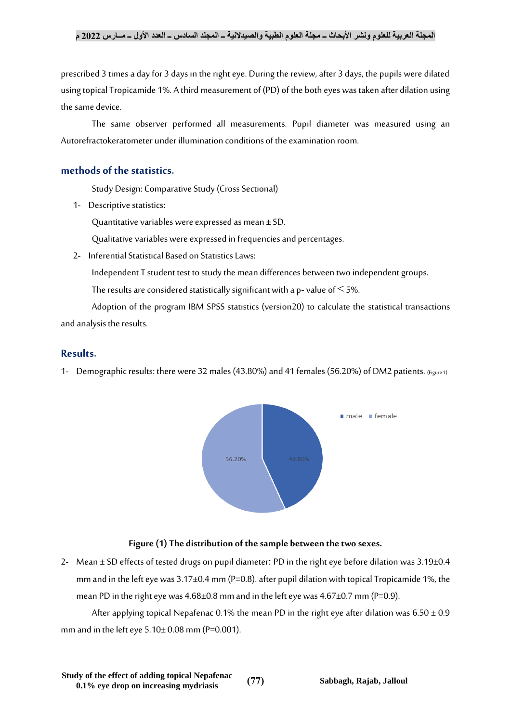prescribed 3 times a day for 3 days in the right eye. During the review, after 3 days, the pupils were dilated using topical Tropicamide 1%. A third measurement of (PD) of the both eyes was taken after dilation using the same device.

The same observer performed all measurements. Pupil diameter was measured using an Autorefractokeratometer under illumination conditions of the examination room.

## **methods of the statistics.**

Study Design: Comparative Study (Cross Sectional)

1- Descriptive statistics:

Quantitative variables were expressed as mean  $\pm$  SD.

Qualitative variables were expressed in frequencies and percentages.

2- Inferential Statistical Based on Statistics Laws:

Independent T student test to study the mean differences between two independent groups.

The results are considered statistically significant with a p-value of  $\leq$  5%.

Adoption of the program IBM SPSS statistics (version20) to calculate the statistical transactions and analysis the results.

## **Results.**

1- Demographic results: there were 32 males (43.80%) and 41 females (56.20%) of DM2 patients. (Figure 1)



#### **Figure (1) The distribution of the sample between the two sexes.**

2- Mean  $\pm$  SD effects of tested drugs on pupil diameter: PD in the right eye before dilation was 3.19 $\pm$ 0.4 mm and in the left eye was  $3.17\pm0.4$  mm (P=0.8). after pupil dilation with topical Tropicamide 1%, the mean PD in the right eye was  $4.68\pm0.8$  mm and in the left eye was  $4.67\pm0.7$  mm (P=0.9).

After applying topical Nepafenac 0.1% the mean PD in the right eye after dilation was  $6.50 \pm 0.9$ mm and in the left eye  $5.10 \pm 0.08$  mm (P=0.001).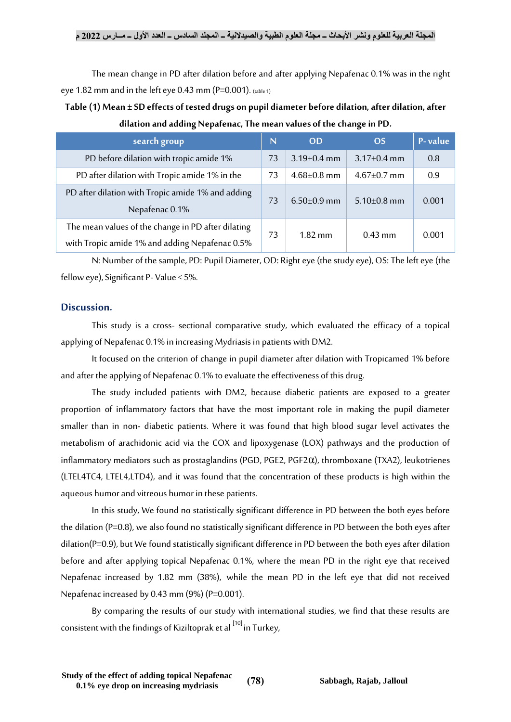The mean change in PD after dilation before and after applying Nepafenac 0.1% was in the right eye 1.82 mm and in the left eye 0.43 mm ( $P=0.001$ ). (table 1)

**Table (1) Mean ± SD effects of tested drugs on pupil diameter before dilation, after dilation, after dilation and adding Nepafenac, The mean values of the change in PD.**

| search group                                                                                         | N  | <b>OD</b>         | <b>OS</b>         | P-value |
|------------------------------------------------------------------------------------------------------|----|-------------------|-------------------|---------|
| PD before dilation with tropic amide 1%                                                              | 73 | $3.19 \pm 0.4$ mm | $3.17\pm0.4$ mm   | 0.8     |
| PD after dilation with Tropic amide 1% in the                                                        | 73 | $4.68{\pm}0.8$ mm | $4.67 \pm 0.7$ mm | 0.9     |
| PD after dilation with Tropic amide 1% and adding<br>Nepafenac 0.1%                                  | 73 | $6.50\pm0.9$ mm   | $5.10\pm0.8$ mm   | 0.001   |
| The mean values of the change in PD after dilating<br>with Tropic amide 1% and adding Nepafenac 0.5% | 73 | $1.82$ mm         | $0.43$ mm         | 0.001   |

N: Number of the sample, PD: Pupil Diameter, OD: Right eye (the study eye), OS: The left eye (the fellow eye), Significant P- Value  $<$  5%.

#### **Discussion.**

This study is a cross- sectional comparative study, which evaluated the efficacy of a topical applying of Nepafenac 0.1% in increasing Mydriasis in patients with DM2.

It focused on the criterion of change in pupil diameter after dilation with Tropicamed 1% before and after the applying of Nepafenac 0.1% to evaluate the effectiveness of this drug.

The study included patients with DM2, because diabetic patients are exposed to a greater proportion of inflammatory factors that have the most important role in making the pupil diameter smaller than in non- diabetic patients. Where it was found that high blood sugar level activates the metabolism of arachidonic acid via the COX and lipoxygenase (LOX) pathways and the production of inflammatory mediators such as prostaglandins (PGD, PGE2, PGF2α), thromboxane (TXA2), leukotrienes (LTEL4TC4, LTEL4,LTD4), and it was found that the concentration of these products is high within the aqueous humor and vitreous humor in these patients.

In this study, We found no statistically significant difference in PD between the both eyes before the dilation (P=0.8), we also found no statistically significant difference in PD between the both eyes after dilation(P=0.9), but We found statistically significant difference in PD between the both eyes after dilation before and after applying topical Nepafenac 0.1%, where the mean PD in the right eye that received Nepafenac increased by 1.82 mm (38%), while the mean PD in the left eye that did not received Nepafenac increased by 0.43 mm (9%) (P=0.001).

By comparing the results of our study with international studies, we find that these results are consistent with the findings of Kiziltoprak et al  $[10]$  in Turkey,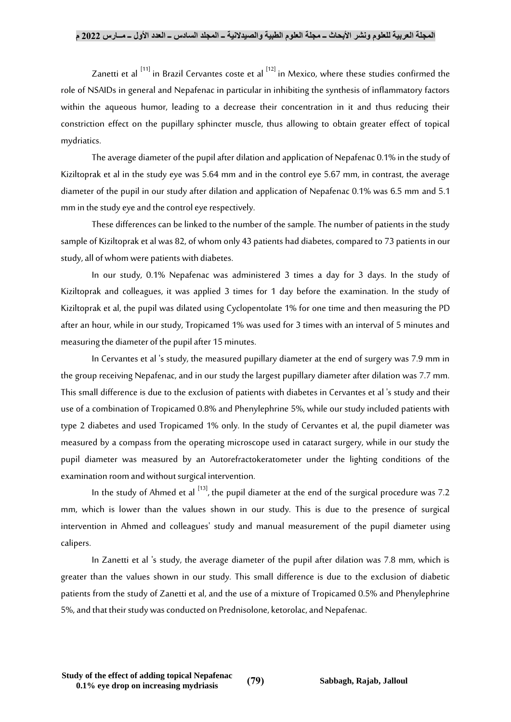Zanetti et al  $^{[11]}$  in Brazil Cervantes coste et al  $^{[12]}$  in Mexico, where these studies confirmed the role of NSAIDs in general and Nepafenac in particular in inhibiting the synthesis of inflammatory factors within the aqueous humor, leading to a decrease their concentration in it and thus reducing their constriction effect on the pupillary sphincter muscle, thus allowing to obtain greater effect of topical mydriatics.

The average diameter of the pupil after dilation and application of Nepafenac 0.1% in the study of Kiziltoprak et al in the study eye was 5.64 mm and in the control eye 5.67 mm, in contrast, the average diameter of the pupil in our study after dilation and application of Nepafenac 0.1% was 6.5 mm and 5.1 mm in the study eye and the control eye respectively.

These differences can be linked to the number of the sample. The number of patients in the study sample of Kiziltoprak et al was 82, of whom only 43 patients had diabetes, compared to 73 patients in our study, all of whom were patients with diabetes.

In our study, 0.1% Nepafenac was administered 3 times a day for 3 days. In the study of Kiziltoprak and colleagues, it was applied 3 times for 1 day before the examination. In the study of Kiziltoprak et al, the pupil was dilated using Cyclopentolate 1% for one time and then measuring the PD after an hour, while in our study, Tropicamed 1% was used for 3 times with an interval of 5 minutes and measuring the diameter of the pupil after 15 minutes.

In Cervantes et al 's study, the measured pupillary diameter at the end of surgery was 7.9 mm in the group receiving Nepafenac, and in our study the largest pupillary diameter after dilation was 7.7 mm. This small difference is due to the exclusion of patients with diabetes in Cervantes et al 's study and their use of a combination of Tropicamed 0.8% and Phenylephrine 5%, while our study included patients with type 2 diabetes and used Tropicamed 1% only. In the study of Cervantes et al, the pupil diameter was measured by a compass from the operating microscope used in cataract surgery, while in our study the pupil diameter was measured by an Autorefractokeratometer under the lighting conditions of the examination room and without surgical intervention.

In the study of Ahmed et al  $^{\left[ 13\right] }$ , the pupil diameter at the end of the surgical procedure was 7.2 mm, which is lower than the values shown in our study. This is due to the presence of surgical intervention in Ahmed and colleagues' study and manual measurement of the pupil diameter using calipers.

In Zanetti et al 's study, the average diameter of the pupil after dilation was 7.8 mm, which is greater than the values shown in our study. This small difference is due to the exclusion of diabetic patients from the study of Zanetti et al, and the use of a mixture of Tropicamed 0.5% and Phenylephrine 5%, and that their study was conducted on Prednisolone, ketorolac, and Nepafenac.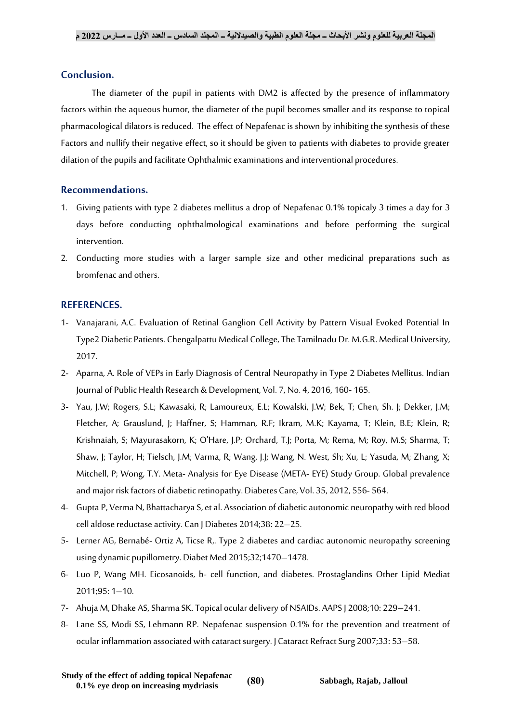#### **Conclusion.**

The diameter of the pupil in patients with DM2 is affected by the presence of inflammatory factors within the aqueous humor, the diameter of the pupil becomes smaller and its response to topical pharmacological dilators is reduced. The effect of Nepafenac is shown by inhibiting the synthesis of these Factors and nullify their negative effect, so it should be given to patients with diabetes to provide greater dilation of the pupils and facilitate Ophthalmic examinations and interventional procedures.

# **Recommendations.**

- 1. Giving patients with type 2 diabetes mellitus a drop of Nepafenac 0.1% topicaly 3 times a day for 3 days before conducting ophthalmological examinations and before performing the surgical intervention.
- 2. Conducting more studies with a larger sample size and other medicinal preparations such as bromfenac and others.

#### **REFERENCES.**

- 1- Vanajarani, A.C. Evaluation of Retinal Ganglion Cell Activity by Pattern Visual Evoked Potential In Type2 Diabetic Patients. Chengalpattu Medical College, The Tamilnadu Dr. M.G.R. Medical University, 2017.
- 2- Aparna, A. Role of VEPs in Early Diagnosis of Central Neuropathy in Type 2 Diabetes Mellitus. Indian Journal of Public Health Research & Development, Vol. 7, No. 4, 2016, 160- 165.
- 3- Yau, J.W; Rogers, S.L; Kawasaki, R; Lamoureux, E.L; Kowalski, J.W; Bek, T; Chen, Sh. J; Dekker, J.M; Fletcher, A; Grauslund, J; Haffner, S; Hamman, R.F; Ikram, M.K; Kayama, T; Klein, B.E; Klein, R; Krishnaiah, S; Mayurasakorn, K; O'Hare, J.P; Orchard, T.J; Porta, M; Rema, M; Roy, M.S; Sharma, T; Shaw, J; Taylor, H; Tielsch, J.M; Varma, R; Wang, J.J; Wang, N. West, Sh; Xu, L; Yasuda, M; Zhang, X; Mitchell, P; Wong, T.Y. Meta- Analysis for Eye Disease (META- EYE) Study Group. Global prevalence and major risk factors of diabetic retinopathy. Diabetes Care, Vol. 35, 2012, 556- 564.
- 4- Gupta P, Verma N, Bhattacharya S, et al. Association of diabetic autonomic neuropathy with red blood cell aldose reductase activity. Can J Diabetes 2014;38: 22–25.
- 5- Lerner AG, Bernabé- Ortiz A, Ticse R,. Type 2 diabetes and cardiac autonomic neuropathy screening using dynamic pupillometry. Diabet Med 2015;32;1470–1478.
- 6- Luo P, Wang MH. Eicosanoids, b- cell function, and diabetes. Prostaglandins Other Lipid Mediat 2011;95: 1–10.
- 7- Ahuja M, Dhake AS, Sharma SK. Topical ocular delivery of NSAIDs. AAPS J 2008;10: 229–241.
- 8- Lane SS, Modi SS, Lehmann RP. Nepafenac suspension 0.1% for the prevention and treatment of ocular inflammation associated with cataract surgery. J Cataract Refract Surg 2007;33: 53–58.